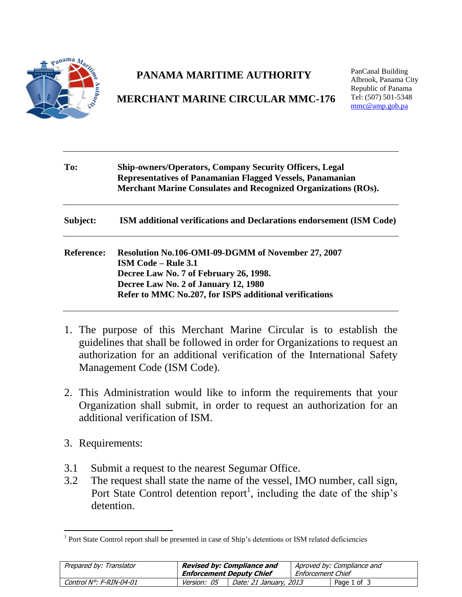

## **PANAMA MARITIME AUTHORITY**

## **MERCHANT MARINE CIRCULAR MMC-176**

PanCanal Building Albrook, Panama City Republic of Panama Tel: (507) 501-5348 [mmc@amp.gob.pa](mailto:mmc@amp.gob.pa)

| To:               | <b>Ship-owners/Operators, Company Security Officers, Legal</b><br>Representatives of Panamanian Flagged Vessels, Panamanian<br><b>Merchant Marine Consulates and Recognized Organizations (ROs).</b>                         |  |  |  |  |
|-------------------|------------------------------------------------------------------------------------------------------------------------------------------------------------------------------------------------------------------------------|--|--|--|--|
| Subject:          | <b>ISM</b> additional verifications and Declarations endorsement (ISM Code)                                                                                                                                                  |  |  |  |  |
| <b>Reference:</b> | Resolution No.106-OMI-09-DGMM of November 27, 2007<br><b>ISM Code – Rule 3.1</b><br>Decree Law No. 7 of February 26, 1998.<br>Decree Law No. 2 of January 12, 1980<br>Refer to MMC No.207, for ISPS additional verifications |  |  |  |  |

- 1. The purpose of this Merchant Marine Circular is to establish the guidelines that shall be followed in order for Organizations to request an authorization for an additional verification of the International Safety Management Code (ISM Code).
- 2. This Administration would like to inform the requirements that your Organization shall submit, in order to request an authorization for an additional verification of ISM.
- 3. Requirements:
- 3.1 Submit a request to the nearest Segumar Office.
- 3.2 The request shall state the name of the vessel, IMO number, call sign, Port State Control detention report<sup>1</sup>, including the date of the ship's detention.

<sup>1</sup> <sup>1</sup> Port State Control report shall be presented in case of Ship's detentions or ISM related deficiencies

| Prepared by: Translator | Revised by: Compliance and<br><b>Enforcement Deputy Chief</b> |                        | Aproved by: Compliance and<br>Enforcement Chief |             |
|-------------------------|---------------------------------------------------------------|------------------------|-------------------------------------------------|-------------|
|                         |                                                               |                        |                                                 |             |
| Control N°: F-RIN-04-01 | <i>Version: 05</i>                                            | Date: 21 January, 2013 |                                                 | Page 1 of 3 |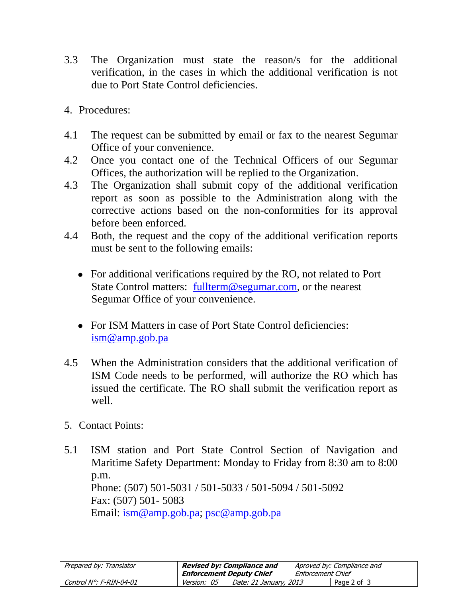- 3.3 The Organization must state the reason/s for the additional verification, in the cases in which the additional verification is not due to Port State Control deficiencies.
- 4. Procedures:
- 4.1 The request can be submitted by email or fax to the nearest Segumar Office of your convenience.
- 4.2 Once you contact one of the Technical Officers of our Segumar Offices, the authorization will be replied to the Organization.
- 4.3 The Organization shall submit copy of the additional verification report as soon as possible to the Administration along with the corrective actions based on the non-conformities for its approval before been enforced.
- 4.4 Both, the request and the copy of the additional verification reports must be sent to the following emails:
	- For additional verifications required by the RO, not related to Port State Control matters: [fullterm@segumar.com,](mailto:fullterm@segumar.com) or the nearest Segumar Office of your convenience.
	- For ISM Matters in case of Port State Control deficiencies: [ism@amp.gob.pa](mailto:ism@amp.gob.pa)
- 4.5 When the Administration considers that the additional verification of ISM Code needs to be performed, will authorize the RO which has issued the certificate. The RO shall submit the verification report as well.
- 5. Contact Points:
- 5.1 ISM station and Port State Control Section of Navigation and Maritime Safety Department: Monday to Friday from 8:30 am to 8:00 p.m. Phone: (507) 501-5031 / 501-5033 / 501-5094 / 501-5092 Fax: (507) 501- 5083 Email: [ism@amp.gob.pa;](mailto:ism@amp.gob.pa) [psc@amp.gob.pa](mailto:psc@amp.gob.pa)

| Prepared by: Translator | <b>Revised by: Compliance and</b> |                        | Aproved by: Compliance and |             |
|-------------------------|-----------------------------------|------------------------|----------------------------|-------------|
|                         | Enforcement Deputy Chief          |                        | Enforcement Chief          |             |
| Control N°: F-RIN-04-01 | <i>Version: 05</i>                | Date: 21 January, 2013 |                            | Page 2 of 3 |